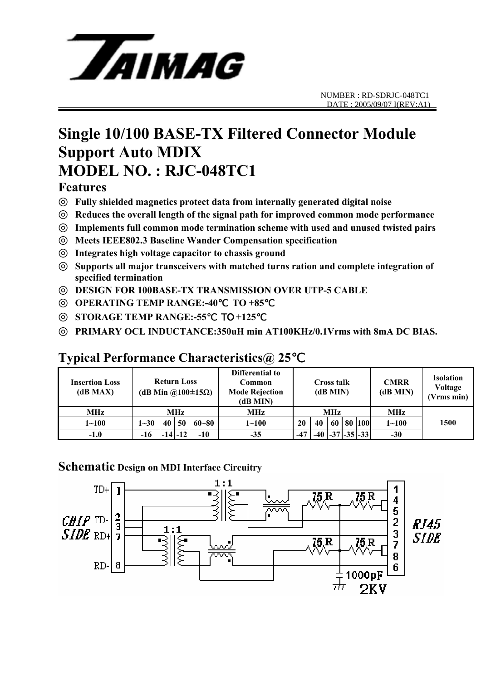

### **Single 10/100 BASE-TX Filtered Connector Module Support Auto MDIX MODEL NO. : RJC-048TC1**

#### **Features**

◎ **Fully shielded magnetics protect data from internally generated digital noise**  Reduces the overall length of the signal path for improved common mode performance Implements full common mode termination scheme with used and unused twisted pairs ◎ **Meets IEEE802.3 Baseline Wander Compensation specification**  Integrates high voltage capacitor to chassis ground Supports all major transceivers with matched turns ration and complete integration of **specified termination**  ◎ **DESIGN FOR 100BASE-TX TRANSMISSION OVER UTP-5 CABLE** 

◎ **OPERATING TEMP RANGE:-40**℃ **TO +85**℃

◎ **STORAGE TEMP RANGE:-55**℃ TO **+125**℃

PRIMARY OCL INDUCTANCE:350uH min AT100KHz/0.1Vrms with 8mA DC BIAS.

#### **Insertion Loss (dB MAX) Return Loss (dB Min @100±15Ω) Differential to Common Mode Rejection (dB MIN) Cross talk (dB MIN) CMRR (dB MIN) Isolation Voltage (Vrms min) MHz MHz MHz MHz MHz 1~100 1~30 40 50 60~80 1~100 20 40 60 80 100 1~100 -1.0 -16 -14 -12 -10 -35 -47 -40 -37 -35 -33 -30 1500**

### **Typical Performance Characteristics@ 25**℃

#### **Schematic Design on MDI Interface Circuitry**

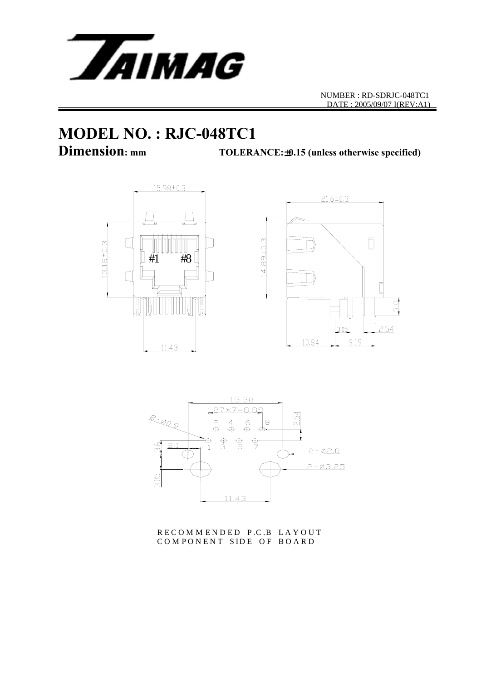

NUMBER : RD-SDRJC-048TC1 DATE : 2005/09/07 I(REV:A1)

# **MODEL NO. : RJC-048TC1**

**Dimension: mm TOLERANCE:**±**0.15 (unless otherwise specified)**







R E C O M M E N D E D P.C.B LA Y O U T COMPONENT SIDE OF BOARD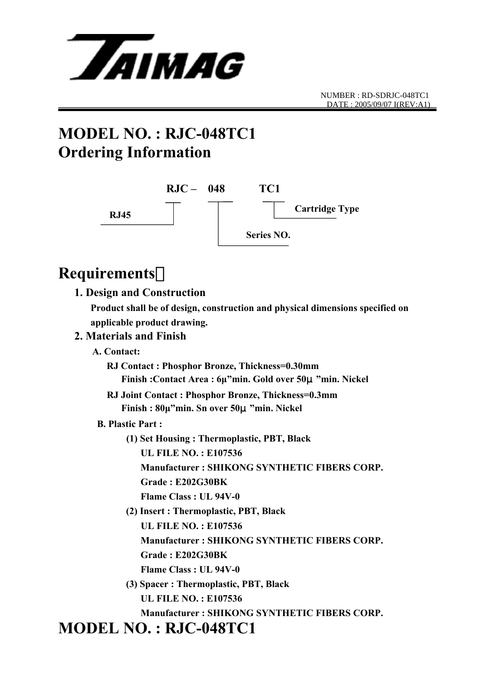

## **MODEL NO. : RJC-048TC1 Ordering Information**



### **Requirements**:

#### **1. Design and Construction**

 **Product shall be of design, construction and physical dimensions specified on applicable product drawing.** 

#### **2. Materials and Finish**

 **A. Contact:** 

 **RJ Contact : Phosphor Bronze, Thickness=0.30mm Finish :Contact Area : 6µ"min. Gold over 50**μ**"min. Nickel** 

- **RJ Joint Contact : Phosphor Bronze, Thickness=0.3mm Finish : 80µ"min. Sn over 50**μ**"min. Nickel**
- **B. Plastic Part :** 
	- **(1) Set Housing : Thermoplastic, PBT, Black UL FILE NO. : E107536 Manufacturer : SHIKONG SYNTHETIC FIBERS CORP. Grade : E202G30BK Flame Class : UL 94V-0**
	- **(2) Insert : Thermoplastic, PBT, Black UL FILE NO. : E107536 Manufacturer : SHIKONG SYNTHETIC FIBERS CORP. Grade : E202G30BK Flame Class : UL 94V-0**
	- **(3) Spacer : Thermoplastic, PBT, Black UL FILE NO. : E107536 Manufacturer : SHIKONG SYNTHETIC FIBERS CORP.**

### **MODEL NO. : RJC-048TC1**